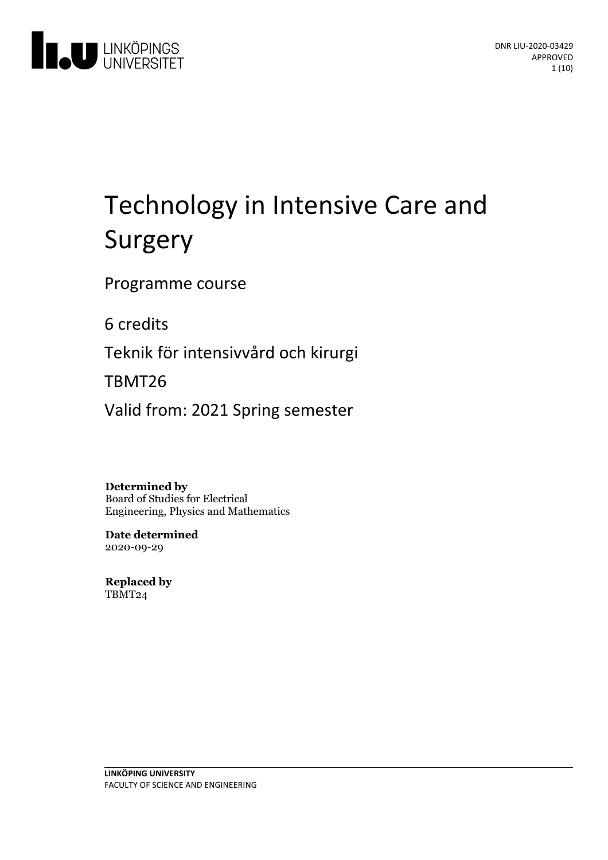

# Technology in Intensive Care and Surgery

Programme course

6 credits

Teknik för intensivvård och kirurgi

TBMT26

Valid from: 2021 Spring semester

**Determined by** Board of Studies for Electrical Engineering, Physics and Mathematics

**Date determined** 2020-09-29

**Replaced by** TBMT24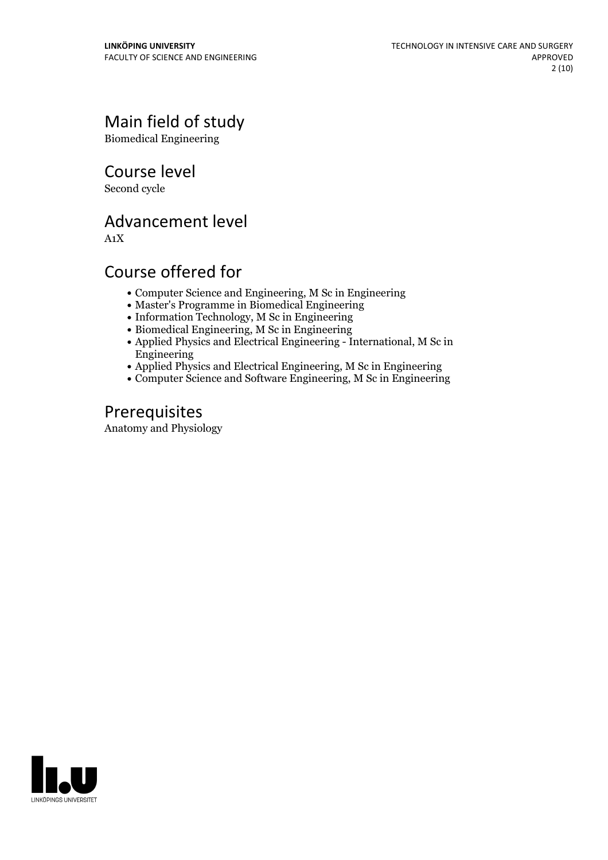# Main field of study

Biomedical Engineering

Course level

Second cycle

# Advancement level

A1X

# Course offered for

- Computer Science and Engineering, M Sc in Engineering
- Master's Programme in Biomedical Engineering
- Information Technology, M Sc in Engineering
- Biomedical Engineering, M Sc in Engineering
- Applied Physics and Electrical Engineering International, M Sc in Engineering
- Applied Physics and Electrical Engineering, M Sc in Engineering
- Computer Science and Software Engineering, M Sc in Engineering

# **Prerequisites**

Anatomy and Physiology

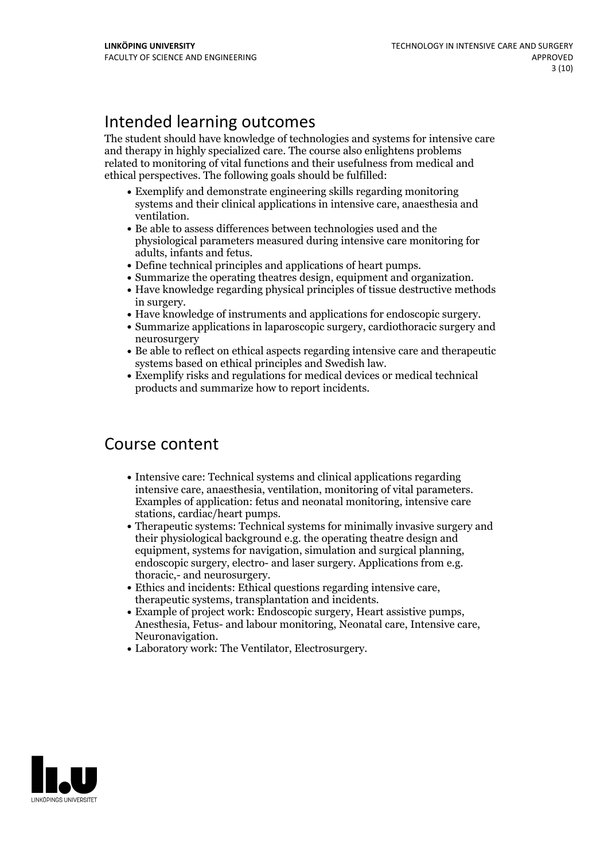# Intended learning outcomes

The student should have knowledge of technologies and systems for intensive care and therapy in highly specialized care. The course also enlightens problems related to monitoring of vital functions and their usefulness from medical and ethical perspectives. The following goals should be fulfilled:

- Exemplify and demonstrate engineering skills regarding monitoring systems and their clinical applications in intensive care, anaesthesia and
- ventilation.<br>• Be able to assess differences between technologies used and the physiological parameters measured during intensive care monitoring for
- 
- Define technical principles and applications of heart pumps.<br>• Summarize the operating theatres design, equipment and organization.<br>• Have knowledge regarding physical principles of tissue destructive methods
- 
- in surgery.<br>• Have knowledge of instruments and applications for endoscopic surgery.<br>• Summarize applications in laparoscopic surgery, cardiothoracic surgery and
- neurosurgery
- Be able to reflect on ethical aspects regarding intensive care and therapeutic
- Exemplify risks and regulations for medical devices or medical technical products and summarize how to report incidents.

# Course content

- Intensive care: Technical systems and clinical applications regarding intensive care, anaesthesia, ventilation, monitoring of vital parameters. Examples of application: fetus and neonatal monitoring, intensive care
- stations, cardiac/heart pumps.<br>• Therapeutic systems: Technical systems for minimally invasive surgery and their physiological background e.g. the operating theatre design and equipment, systems for navigation, simulation and surgical planning,<br>endoscopic surgery, electro- and laser surgery. Applications from e.g.<br>thoracic,- and neurosurgery.<br>Ethics and incidents: Ethical questions regarding int
- 
- 
- 

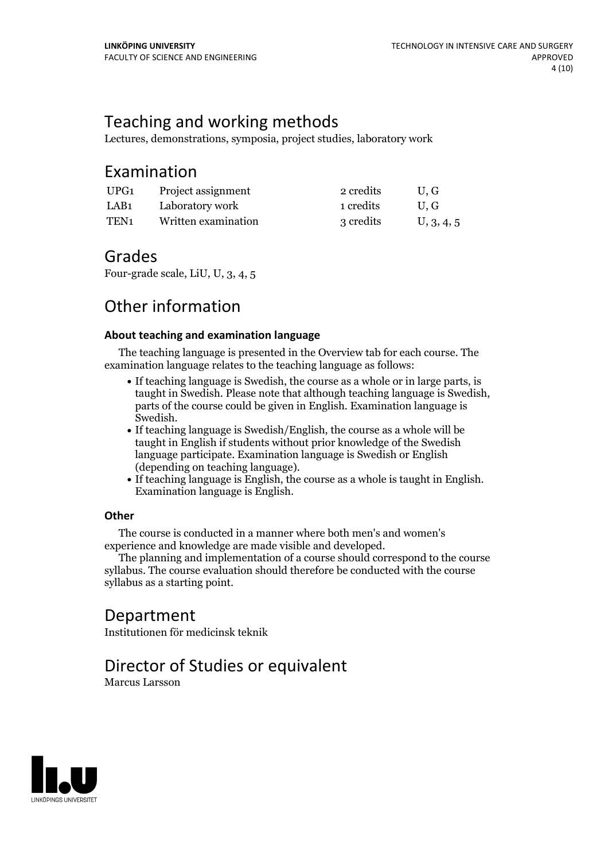# Teaching and working methods

Lectures, demonstrations, symposia, project studies, laboratory work

### Examination

| UPG1             | Project assignment  | 2 credits | U.G        |
|------------------|---------------------|-----------|------------|
| LAB1             | Laboratory work     | 1 credits | U.G        |
| TEN <sub>1</sub> | Written examination | 3 credits | U, 3, 4, 5 |

### Grades

Four-grade scale, LiU, U, 3, 4, 5

# Other information

### **About teaching and examination language**

The teaching language is presented in the Overview tab for each course. The examination language relates to the teaching language as follows:

- If teaching language is Swedish, the course as a whole or in large parts, is taught in Swedish. Please note that although teaching language is Swedish, parts of the course could be given in English. Examination language is Swedish.<br>• If teaching language is Swedish/English, the course as a whole will be
- taught in English if students without prior knowledge of the Swedish language participate. Examination language is Swedish or English
- (depending on teaching language).<br>• If teaching language is English, the course as a whole is taught in English.<br>Examination language is English.

### **Other**

The course is conducted in a manner where both men's and women's

The planning and implementation of a course should correspond to the course syllabus. The course evaluation should therefore be conducted with the course syllabus as a starting point.

# Department

Institutionen för medicinsk teknik

# Director of Studies or equivalent

Marcus Larsson

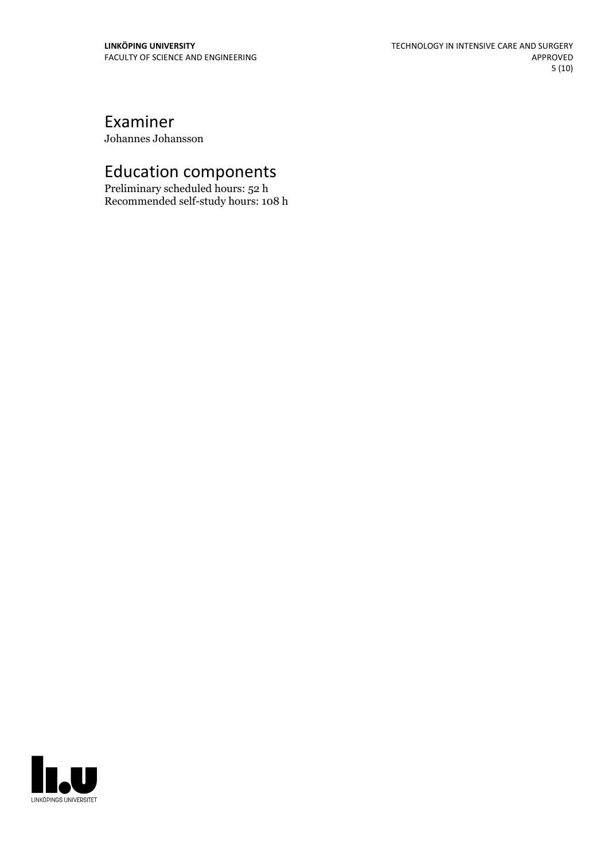# Examiner

Johannes Johansson

# Education components

Preliminary scheduled hours: 52 h Recommended self-study hours: 108 h

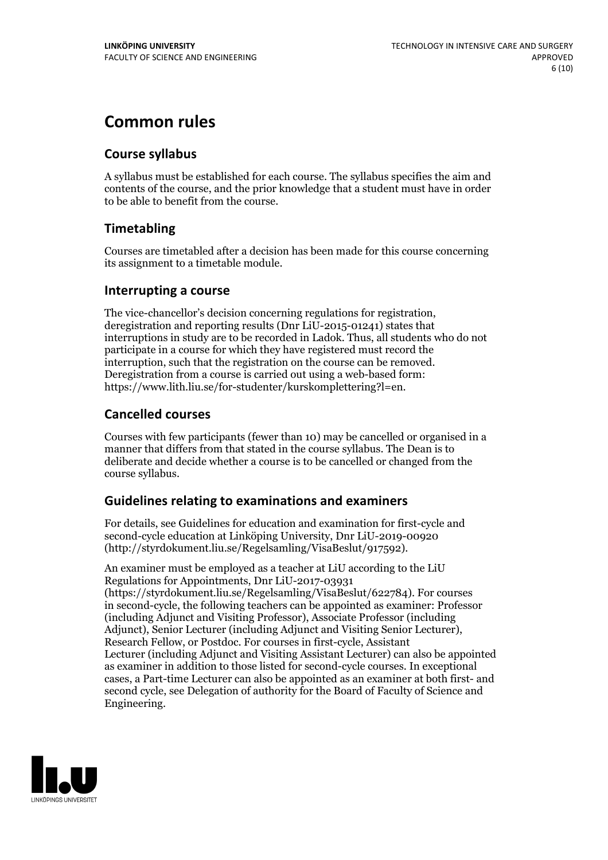# **Common rules**

### **Course syllabus**

A syllabus must be established for each course. The syllabus specifies the aim and contents of the course, and the prior knowledge that a student must have in order to be able to benefit from the course.

### **Timetabling**

Courses are timetabled after a decision has been made for this course concerning its assignment to a timetable module.

### **Interrupting a course**

The vice-chancellor's decision concerning regulations for registration, deregistration and reporting results (Dnr LiU-2015-01241) states that interruptions in study are to be recorded in Ladok. Thus, all students who do not participate in a course for which they have registered must record the interruption, such that the registration on the course can be removed. Deregistration from <sup>a</sup> course is carried outusing <sup>a</sup> web-based form: https://www.lith.liu.se/for-studenter/kurskomplettering?l=en.

### **Cancelled courses**

Courses with few participants (fewer than 10) may be cancelled or organised in a manner that differs from that stated in the course syllabus. The Dean is to deliberate and decide whether a course is to be cancelled or changed from the course syllabus.

### **Guidelines relatingto examinations and examiners**

For details, see Guidelines for education and examination for first-cycle and second-cycle education at Linköping University, Dnr LiU-2019-00920 (http://styrdokument.liu.se/Regelsamling/VisaBeslut/917592).

An examiner must be employed as a teacher at LiU according to the LiU Regulations for Appointments, Dnr LiU-2017-03931 (https://styrdokument.liu.se/Regelsamling/VisaBeslut/622784). For courses in second-cycle, the following teachers can be appointed as examiner: Professor (including Adjunct and Visiting Professor), Associate Professor (including Adjunct), Senior Lecturer (including Adjunct and Visiting Senior Lecturer), Research Fellow, or Postdoc. For courses in first-cycle, Assistant Lecturer (including Adjunct and Visiting Assistant Lecturer) can also be appointed as examiner in addition to those listed for second-cycle courses. In exceptional cases, a Part-time Lecturer can also be appointed as an examiner at both first- and second cycle, see Delegation of authority for the Board of Faculty of Science and Engineering.

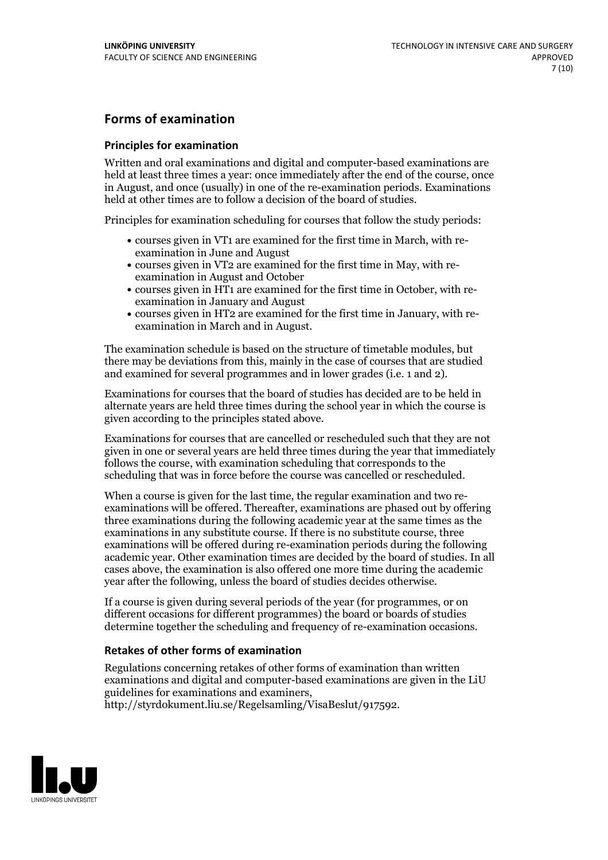### **Forms of examination**

### **Principles for examination**

Written and oral examinations and digital and computer-based examinations are held at least three times a year: once immediately after the end of the course, once in August, and once (usually) in one of the re-examination periods. Examinations held at other times are to follow a decision of the board of studies.

Principles for examination scheduling for courses that follow the study periods:

- courses given in VT1 are examined for the first time in March, with re-examination in June and August
- courses given in VT2 are examined for the first time in May, with re-examination in August and October
- courses given in HT1 are examined for the first time in October, with re-examination in January and August
- courses given in HT2 are examined for the first time in January, with re-examination in March and in August.

The examination schedule is based on the structure of timetable modules, but there may be deviations from this, mainly in the case of courses that are studied and examined for several programmes and in lower grades (i.e. 1 and 2).

Examinations for courses that the board of studies has decided are to be held in alternate years are held three times during the school year in which the course is given according to the principles stated above.

Examinations for courses that are cancelled orrescheduled such that they are not given in one or several years are held three times during the year that immediately follows the course, with examination scheduling that corresponds to the scheduling that was in force before the course was cancelled or rescheduled.

When a course is given for the last time, the regular examination and two re-<br>examinations will be offered. Thereafter, examinations are phased out by offering three examinations during the following academic year at the same times as the examinations in any substitute course. If there is no substitute course, three examinations will be offered during re-examination periods during the following academic year. Other examination times are decided by the board of studies. In all cases above, the examination is also offered one more time during the academic year after the following, unless the board of studies decides otherwise.

If a course is given during several periods of the year (for programmes, or on different occasions for different programmes) the board or boards of studies determine together the scheduling and frequency of re-examination occasions.

### **Retakes of other forms of examination**

Regulations concerning retakes of other forms of examination than written examinations and digital and computer-based examinations are given in the LiU guidelines for examinations and examiners, http://styrdokument.liu.se/Regelsamling/VisaBeslut/917592.

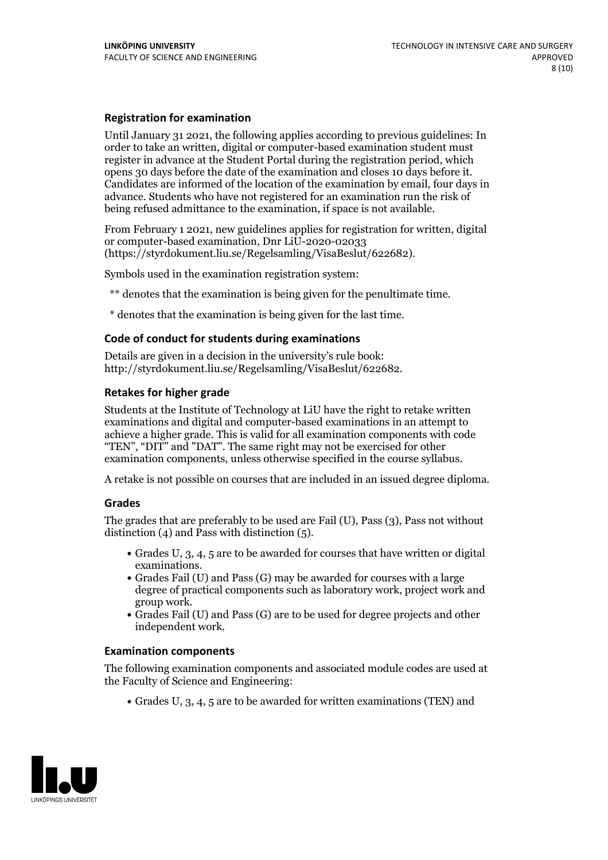#### **Registration for examination**

Until January 31 2021, the following applies according to previous guidelines: In order to take an written, digital or computer-based examination student must register in advance at the Student Portal during the registration period, which Candidates are informed of the location of the examination by email, four days in advance. Students who have not registered for an examination run the risk of being refused admittance to the examination, if space is not available.

From February 1 2021, new guidelines applies for registration for written, digital or computer-based examination, Dnr LiU-2020-02033 (https://styrdokument.liu.se/Regelsamling/VisaBeslut/622682).

Symbols used in the examination registration system:

\*\* denotes that the examination is being given for the penultimate time.

\* denotes that the examination is being given for the last time.

#### **Code of conduct for students during examinations**

Details are given in a decision in the university's rule book: http://styrdokument.liu.se/Regelsamling/VisaBeslut/622682.

#### **Retakes for higher grade**

Students at the Institute of Technology at LiU have the right to retake written examinations and digital and computer-based examinations in an attempt to achieve a higher grade. This is valid for all examination components with code "TEN", "DIT" and "DAT". The same right may not be exercised for other examination components, unless otherwise specified in the course syllabus.

A retake is not possible on courses that are included in an issued degree diploma.

#### **Grades**

The grades that are preferably to be used are Fail (U), Pass (3), Pass not without distinction  $(4)$  and Pass with distinction  $(5)$ .

- Grades U, 3, 4, 5 are to be awarded for courses that have written or digital examinations.<br>• Grades Fail (U) and Pass (G) may be awarded for courses with a large
- degree of practical components such as laboratory work, project work and
- $\bullet$  Grades Fail (U) and Pass (G) are to be used for degree projects and other independent work.

#### **Examination components**

The following examination components and associated module codes are used at the Faculty of Science and Engineering:

Grades U, 3, 4, 5 are to be awarded for written examinations (TEN) and

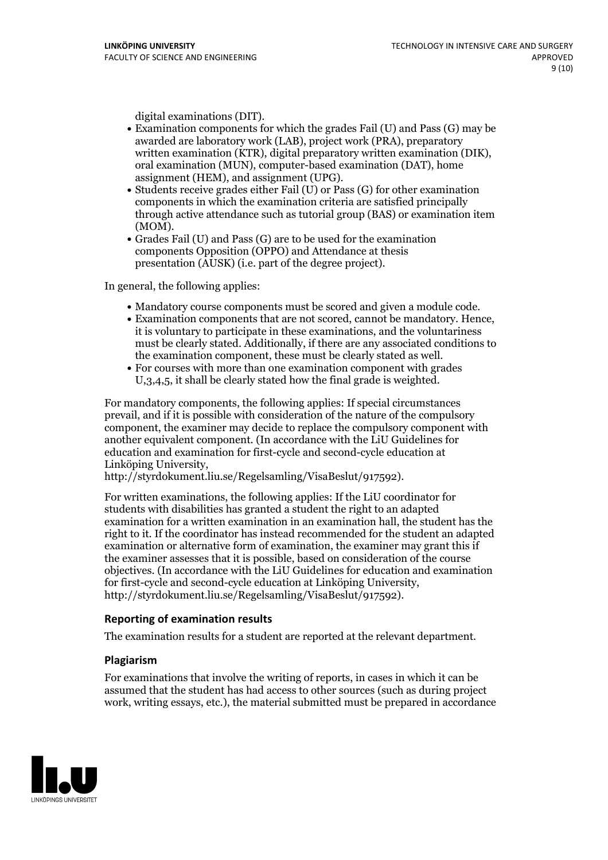- digital examinations (DIT).<br>• Examination components for which the grades Fail (U) and Pass (G) may be awarded are laboratory work (LAB), project work (PRA), preparatory written examination (KTR), digital preparatory written examination (DIK), oral examination (MUN), computer-based examination (DAT), home
- assignment (HEM), and assignment (UPG).<br>• Students receive grades either Fail (U) or Pass (G) for other examination components in which the examination criteria are satisfied principally through active attendance such as tutorial group (BAS) or examination item
- (MOM).<br>• Grades Fail (U) and Pass (G) are to be used for the examination components Opposition (OPPO) and Attendance at thesis presentation (AUSK) (i.e. part of the degree project).

In general, the following applies:

- 
- Mandatory course components must be scored and given <sup>a</sup> module code. Examination components that are not scored, cannot be mandatory. Hence, it is voluntary to participate in these examinations, and the voluntariness must be clearly stated. Additionally, if there are any associated conditions to the examination component, these must be clearly stated as well.<br>• For courses with more than one examination component with grades
- U,3,4,5, it shall be clearly stated how the final grade is weighted.

For mandatory components, the following applies: If special circumstances prevail, and if it is possible with consideration of the nature ofthe compulsory component, the examiner may decide to replace the compulsory component with another equivalent component. (In accordance with the LiU Guidelines for education and examination for first-cycle and second-cycle education at Linköping University, http://styrdokument.liu.se/Regelsamling/VisaBeslut/917592).

For written examinations, the following applies: If the LiU coordinator for students with disabilities has granted a student the right to an adapted examination for a written examination in an examination hall, the student has the right to it. If the coordinator has instead recommended for the student an adapted examination or alternative form of examination, the examiner may grant this if the examiner assesses that it is possible, based on consideration of the course objectives. (In accordance with the LiU Guidelines for education and examination for first-cycle and second-cycle education at Linköping University, http://styrdokument.liu.se/Regelsamling/VisaBeslut/917592).

#### **Reporting of examination results**

The examination results for a student are reported at the relevant department.

#### **Plagiarism**

For examinations that involve the writing of reports, in cases in which it can be assumed that the student has had access to other sources (such as during project work, writing essays, etc.), the material submitted must be prepared in accordance